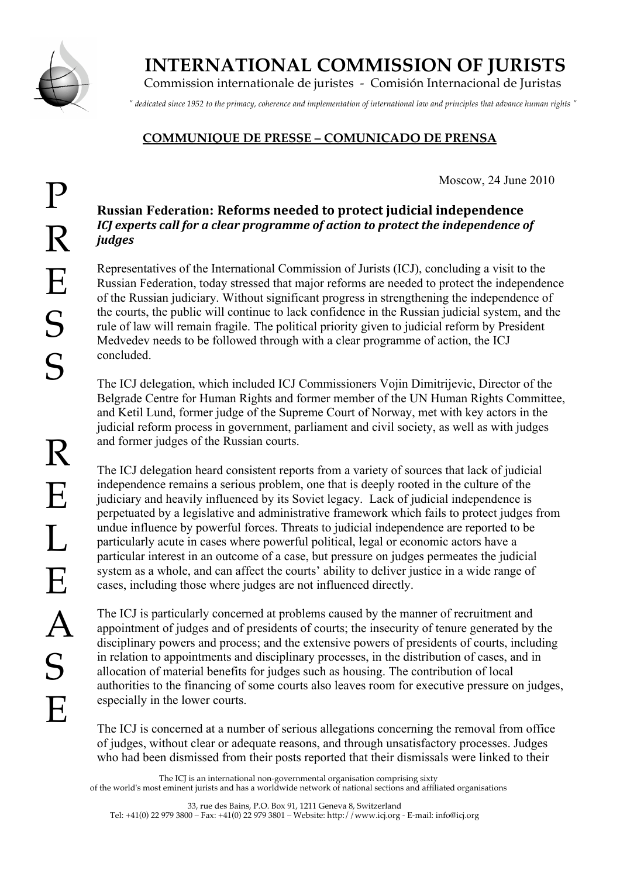

## **INTERNATIONAL COMMISSION OF JURISTS**

Commission internationale de juristes - Comisión Internacional de Juristas

*" dedicated since 1952 to the primacy, coherence and implementation of international law and principles that advance human rights "*

## **COMMUNIQUE DE PRESSE – COMUNICADO DE PRENSA**

Moscow, 24 June 2010

## **Russian Federation: Reforms
needed
to
protect
judicial
independence** ICI experts call for a clear programme of action to protect the independence of *judges*

Representatives of the International Commission of Jurists (ICJ), concluding a visit to the Russian Federation, today stressed that major reforms are needed to protect the independence of the Russian judiciary. Without significant progress in strengthening the independence of the courts, the public will continue to lack confidence in the Russian judicial system, and the rule of law will remain fragile. The political priority given to judicial reform by President Medvedev needs to be followed through with a clear programme of action, the ICJ concluded.

The ICJ delegation, which included ICJ Commissioners Vojin Dimitrijevic, Director of the Belgrade Centre for Human Rights and former member of the UN Human Rights Committee, and Ketil Lund, former judge of the Supreme Court of Norway, met with key actors in the judicial reform process in government, parliament and civil society, as well as with judges and former judges of the Russian courts.

The ICJ delegation heard consistent reports from a variety of sources that lack of judicial independence remains a serious problem, one that is deeply rooted in the culture of the judiciary and heavily influenced by its Soviet legacy. Lack of judicial independence is perpetuated by a legislative and administrative framework which fails to protect judges from undue influence by powerful forces. Threats to judicial independence are reported to be particularly acute in cases where powerful political, legal or economic actors have a particular interest in an outcome of a case, but pressure on judges permeates the judicial system as a whole, and can affect the courts' ability to deliver justice in a wide range of cases, including those where judges are not influenced directly.

The ICJ is particularly concerned at problems caused by the manner of recruitment and appointment of judges and of presidents of courts; the insecurity of tenure generated by the disciplinary powers and process; and the extensive powers of presidents of courts, including in relation to appointments and disciplinary processes, in the distribution of cases, and in allocation of material benefits for judges such as housing. The contribution of local authorities to the financing of some courts also leaves room for executive pressure on judges, especially in the lower courts.

The ICJ is concerned at a number of serious allegations concerning the removal from office of judges, without clear or adequate reasons, and through unsatisfactory processes. Judges who had been dismissed from their posts reported that their dismissals were linked to their

The ICJ is an international non-governmental organisation comprising sixty of the world's most eminent jurists and has a worldwide network of national sections and affiliated organisations